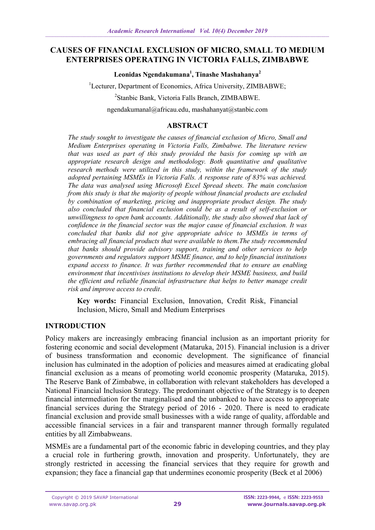### **CAUSES OF FINANCIAL EXCLUSION OF MICRO, SMALL TO MEDIUM ENTERPRISES OPERATING IN VICTORIA FALLS, ZIMBABWE**

**Leonidas Ngendakumana<sup>1</sup> , Tinashe Mashahanya<sup>2</sup>**

<sup>1</sup>Lecturer, Department of Economics, Africa University, ZIMBABWE;

2 Stanbic Bank, Victoria Falls Branch, ZIMBABWE.

[ngendakumanal@africau.edu,](mailto:ngendakumanal@africau.edu) mashahanyat@stanbic.com

### **ABSTRACT**

*The study sought to investigate the causes of financial exclusion of Micro, Small and Medium Enterprises operating in Victoria Falls, Zimbabwe. The literature review that was used as part of this study provided the basis for coming up with an appropriate research design and methodology. Both quantitative and qualitative research methods were utilized in this study, within the framework of the study adopted pertaining MSMEs in Victoria Falls. A response rate of 83% was achieved. The data was analysed using Microsoft Excel Spread sheets. The main conclusion from this study is that the majority of people without financial products are excluded by combination of marketing, pricing and inappropriate product design. The study also concluded that financial exclusion could be as a result of self-exclusion or unwillingness to open bank accounts. Additionally, the study also showed that lack of confidence in the financial sector was the major cause of financial exclusion. It was concluded that banks did not give appropriate advice to MSMEs in terms of embracing all financial products that were available to them.The study recommended that banks should provide advisory support, training and other services to help governments and regulators support MSME finance, and to help financial institutions expand access to finance. It was further recommended that to ensure an enabling environment that incentivises institutions to develop their MSME business, and build the efficient and reliable financial infrastructure that helps to better manage credit risk and improve access to credit*.

**Key words:** Financial Exclusion, Innovation, Credit Risk, Financial Inclusion, Micro, Small and Medium Enterprises

## **INTRODUCTION**

Policy makers are increasingly embracing financial inclusion as an important priority for fostering economic and social development (Mataruka, 2015). Financial inclusion is a driver of business transformation and economic development. The significance of financial inclusion has culminated in the adoption of policies and measures aimed at eradicating global financial exclusion as a means of promoting world economic prosperity (Mataruka, 2015). The Reserve Bank of Zimbabwe, in collaboration with relevant stakeholders has developed a National Financial Inclusion Strategy. The predominant objective of the Strategy is to deepen financial intermediation for the marginalised and the unbanked to have access to appropriate financial services during the Strategy period of 2016 - 2020. There is need to eradicate financial exclusion and provide small businesses with a wide range of quality, affordable and accessible financial services in a fair and transparent manner through formally regulated entities by all Zimbabweans.

MSMEs are a fundamental part of the economic fabric in developing countries, and they play a crucial role in furthering growth, innovation and prosperity. Unfortunately, they are strongly restricted in accessing the financial services that they require for growth and expansion; they face a financial gap that undermines economic prosperity (Beck et al 2006)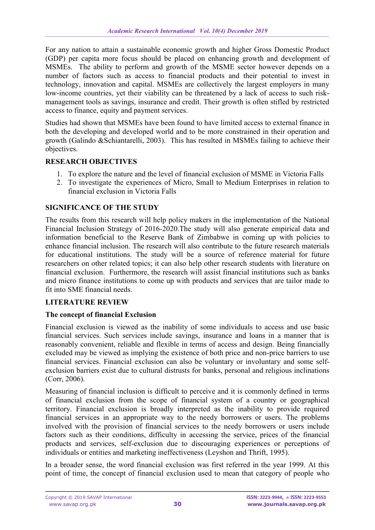For any nation to attain a sustainable economic growth and higher Gross Domestic Product (GDP) per capita more focus should be placed on enhancing growth and development of MSMEs. The ability to perform and growth of the MSME sector however depends on a number of factors such as access to financial products and their potential to invest in technology, innovation and capital. MSMEs are collectively the largest employers in many low-income countries, yet their viability can be threatened by a lack of access to such riskmanagement tools as savings, insurance and credit. Their growth is often stifled by restricted access to finance, equity and payment services.

Studies had shown that MSMEs have been found to have limited access to external finance in both the developing and developed world and to be more constrained in their operation and growth (Galindo &Schiantarelli, 2003). This has resulted in MSMEs failing to achieve their objectives.

# **RESEARCH OBJECTIVES**

- 1. To explore the nature and the level of financial exclusion of MSME in Victoria Falls
- 2. To investigate the experiences of Micro, Small to Medium Enterprises in relation to financial exclusion in Victoria Falls

## **SIGNIFICANCE OF THE STUDY**

The results from this research will help policy makers in the implementation of the National Financial Inclusion Strategy of 2016-2020.The study will also generate empirical data and information beneficial to the Reserve Bank of Zimbabwe in coming up with policies to enhance financial inclusion. The research will also contribute to the future research materials for educational institutions. The study will be a source of reference material for future researchers on other related topics; it can also help other research students with literature on financial exclusion. Furthermore, the research will assist financial institutions such as banks and micro finance institutions to come up with products and services that are tailor made to fit into SME financial needs.

## **LITERATURE REVIEW**

## **The concept of financial Exclusion**

Financial exclusion is viewed as the inability of some individuals to access and use basic financial services. Such services include savings, insurance and loans in a manner that is reasonably convenient, reliable and flexible in terms of access and design. Being financially excluded may be viewed as implying the existence of both price and non-price barriers to use financial services. Financial exclusion can also be voluntary or involuntary and some selfexclusion barriers exist due to cultural distrusts for banks, personal and religious inclinations (Corr, 2006).

Measuring of financial inclusion is difficult to perceive and it is commonly defined in terms of financial exclusion from the scope of financial system of a country or geographical territory. Financial exclusion is broadly interpreted as the inability to provide required financial services in an appropriate way to the needy borrowers or users. The problems involved with the provision of financial services to the needy borrowers or users include factors such as their conditions, difficulty in accessing the service, prices of the financial products and services, self-exclusion due to discouraging experiences or perceptions of individuals or entities and marketing ineffectiveness (Leyshon and Thrift, 1995).

In a broader sense, the word financial exclusion was first referred in the year 1999. At this point of time, the concept of financial exclusion used to mean that category of people who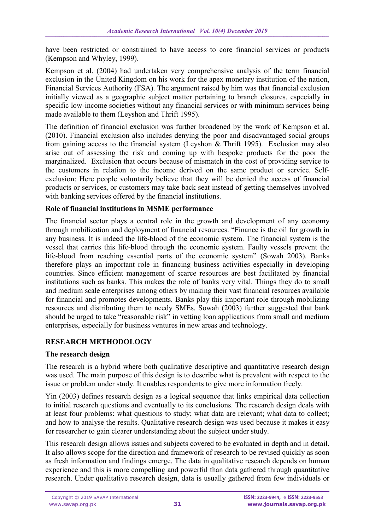have been restricted or constrained to have access to core financial services or products (Kempson and Whyley, 1999).

Kempson et al. (2004) had undertaken very comprehensive analysis of the term financial exclusion in the United Kingdom on his work for the apex monetary institution of the nation, Financial Services Authority (FSA). The argument raised by him was that financial exclusion initially viewed as a geographic subject matter pertaining to branch closures, especially in specific low-income societies without any financial services or with minimum services being made available to them (Leyshon and Thrift 1995).

The definition of financial exclusion was further broadened by the work of Kempson et al. (2010). Financial exclusion also includes denying the poor and disadvantaged social groups from gaining access to the financial system (Leyshon & Thrift 1995). Exclusion may also arise out of assessing the risk and coming up with bespoke products for the poor the marginalized. Exclusion that occurs because of mismatch in the cost of providing service to the customers in relation to the income derived on the same product or service. Selfexclusion: Here people voluntarily believe that they will be denied the access of financial products or services, or customers may take back seat instead of getting themselves involved with banking services offered by the financial institutions.

### **Role of financial institutions in MSME performance**

The financial sector plays a central role in the growth and development of any economy through mobilization and deployment of financial resources. "Finance is the oil for growth in any business. It is indeed the life-blood of the economic system. The financial system is the vessel that carries this life-blood through the economic system. Faulty vessels prevent the life-blood from reaching essential parts of the economic system" (Sowah 2003). Banks therefore plays an important role in financing business activities especially in developing countries. Since efficient management of scarce resources are best facilitated by financial institutions such as banks. This makes the role of banks very vital. Things they do to small and medium scale enterprises among others by making their vast financial resources available for financial and promotes developments. Banks play this important role through mobilizing resources and distributing them to needy SMEs. Sowah (2003) further suggested that bank should be urged to take "reasonable risk" in vetting loan applications from small and medium enterprises, especially for business ventures in new areas and technology.

## **RESEARCH METHODOLOGY**

## **The research design**

The research is a hybrid where both qualitative descriptive and quantitative research design was used. The main purpose of this design is to describe what is prevalent with respect to the issue or problem under study. It enables respondents to give more information freely.

Yin (2003) defines research design as a logical sequence that links empirical data collection to initial research questions and eventually to its conclusions. The research design deals with at least four problems: what questions to study; what data are relevant; what data to collect; and how to analyse the results. Qualitative research design was used because it makes it easy for researcher to gain clearer understanding about the subject under study.

This research design allows issues and subjects covered to be evaluated in depth and in detail. It also allows scope for the direction and framework of research to be revised quickly as soon as fresh information and findings emerge. The data in qualitative research depends on human experience and this is more compelling and powerful than data gathered through quantitative research. Under qualitative research design, data is usually gathered from few individuals or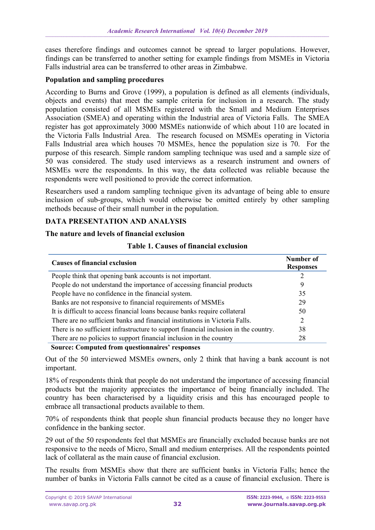cases therefore findings and outcomes cannot be spread to larger populations. However, findings can be transferred to another setting for example findings from MSMEs in Victoria Falls industrial area can be transferred to other areas in Zimbabwe.

#### **Population and sampling procedures**

According to Burns and Grove (1999), a population is defined as all elements (individuals, objects and events) that meet the sample criteria for inclusion in a research. The study population consisted of all MSMEs registered with the Small and Medium Enterprises Association (SMEA) and operating within the Industrial area of Victoria Falls. The SMEA register has got approximately 3000 MSMEs nationwide of which about 110 are located in the Victoria Falls Industrial Area. The research focused on MSMEs operating in Victoria Falls Industrial area which houses 70 MSMEs, hence the population size is 70. For the purpose of this research. Simple random sampling technique was used and a sample size of 50 was considered. The study used interviews as a research instrument and owners of MSMEs were the respondents. In this way, the data collected was reliable because the respondents were well positioned to provide the correct information.

Researchers used a random sampling technique given its advantage of being able to ensure inclusion of sub-groups, which would otherwise be omitted entirely by other sampling methods because of their small number in the population.

#### **DATA PRESENTATION AND ANALYSIS**

#### **The nature and levels of financial exclusion**

| Table 1. Causes of financial exclusion |  |
|----------------------------------------|--|
|----------------------------------------|--|

| <b>Causes of financial exclusion</b>                                                 | Number of<br><b>Responses</b> |
|--------------------------------------------------------------------------------------|-------------------------------|
| People think that opening bank accounts is not important.                            |                               |
| People do not understand the importance of accessing financial products              | 9                             |
| People have no confidence in the financial system.                                   | 35                            |
| Banks are not responsive to financial requirements of MSMEs                          | 29                            |
| It is difficult to access financial loans because banks require collateral           | 50                            |
| There are no sufficient banks and financial institutions in Victoria Falls.          | 2                             |
| There is no sufficient infrastructure to support financial inclusion in the country. | 38                            |
| There are no policies to support financial inclusion in the country                  | 28                            |

 **Source: Computed from questionnaires' responses**

Out of the 50 interviewed MSMEs owners, only 2 think that having a bank account is not important.

18% of respondents think that people do not understand the importance of accessing financial products but the majority appreciates the importance of being financially included. The country has been characterised by a liquidity crisis and this has encouraged people to embrace all transactional products available to them.

70% of respondents think that people shun financial products because they no longer have confidence in the banking sector.

29 out of the 50 respondents feel that MSMEs are financially excluded because banks are not responsive to the needs of Micro, Small and medium enterprises. All the respondents pointed lack of collateral as the main cause of financial exclusion.

The results from MSMEs show that there are sufficient banks in Victoria Falls; hence the number of banks in Victoria Falls cannot be cited as a cause of financial exclusion. There is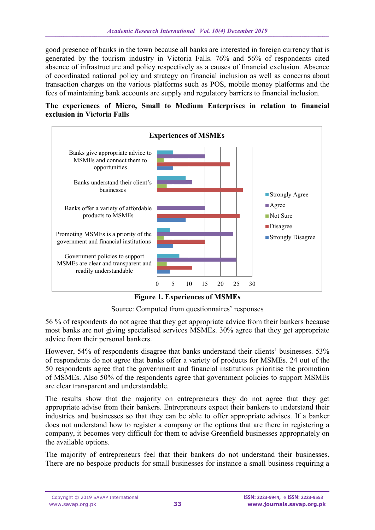good presence of banks in the town because all banks are interested in foreign currency that is generated by the tourism industry in Victoria Falls. 76% and 56% of respondents cited absence of infrastructure and policy respectively as a causes of financial exclusion. Absence of coordinated national policy and strategy on financial inclusion as well as concerns about transaction charges on the various platforms such as POS, mobile money platforms and the fees of maintaining bank accounts are supply and regulatory barriers to financial inclusion.

#### **The experiences of Micro, Small to Medium Enterprises in relation to financial exclusion in Victoria Falls**



**Figure 1. Experiences of MSMEs**

Source: Computed from questionnaires' responses

56 % of respondents do not agree that they get appropriate advice from their bankers because most banks are not giving specialised services MSMEs. 30% agree that they get appropriate advice from their personal bankers.

However, 54% of respondents disagree that banks understand their clients' businesses. 53% of respondents do not agree that banks offer a variety of products for MSMEs. 24 out of the 50 respondents agree that the government and financial institutions prioritise the promotion of MSMEs. Also 50% of the respondents agree that government policies to support MSMEs are clear transparent and understandable.

The results show that the majority on entrepreneurs they do not agree that they get appropriate advise from their bankers. Entrepreneurs expect their bankers to understand their industries and businesses so that they can be able to offer appropriate advises. If a banker does not understand how to register a company or the options that are there in registering a company, it becomes very difficult for them to advise Greenfield businesses appropriately on the available options.

The majority of entrepreneurs feel that their bankers do not understand their businesses. There are no bespoke products for small businesses for instance a small business requiring a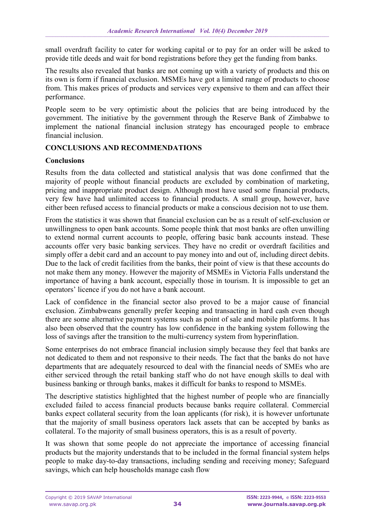small overdraft facility to cater for working capital or to pay for an order will be asked to provide title deeds and wait for bond registrations before they get the funding from banks.

The results also revealed that banks are not coming up with a variety of products and this on its own is form if financial exclusion. MSMEs have got a limited range of products to choose from. This makes prices of products and services very expensive to them and can affect their performance.

People seem to be very optimistic about the policies that are being introduced by the government. The initiative by the government through the Reserve Bank of Zimbabwe to implement the national financial inclusion strategy has encouraged people to embrace financial inclusion.

### **CONCLUSIONS AND RECOMMENDATIONS**

#### **Conclusions**

Results from the data collected and statistical analysis that was done confirmed that the majority of people without financial products are excluded by combination of marketing, pricing and inappropriate product design. Although most have used some financial products, very few have had unlimited access to financial products. A small group, however, have either been refused access to financial products or make a conscious decision not to use them.

From the statistics it was shown that financial exclusion can be as a result of self-exclusion or unwillingness to open bank accounts. Some people think that most banks are often unwilling to extend normal current accounts to people, offering basic bank accounts instead. These accounts offer very basic banking services. They have no credit or overdraft facilities and simply offer a debit card and an account to pay money into and out of, including direct debits. Due to the lack of credit facilities from the banks, their point of view is that these accounts do not make them any money. However the majority of MSMEs in Victoria Falls understand the importance of having a bank account, especially those in tourism. It is impossible to get an operators' licence if you do not have a bank account.

Lack of confidence in the financial sector also proved to be a major cause of financial exclusion. Zimbabweans generally prefer keeping and transacting in hard cash even though there are some alternative payment systems such as point of sale and mobile platforms. It has also been observed that the country has low confidence in the banking system following the loss of savings after the transition to the multi-currency system from hyperinflation.

Some enterprises do not embrace financial inclusion simply because they feel that banks are not dedicated to them and not responsive to their needs. The fact that the banks do not have departments that are adequately resourced to deal with the financial needs of SMEs who are either serviced through the retail banking staff who do not have enough skills to deal with business banking or through banks, makes it difficult for banks to respond to MSMEs.

The descriptive statistics highlighted that the highest number of people who are financially excluded failed to access financial products because banks require collateral. Commercial banks expect collateral security from the loan applicants (for risk), it is however unfortunate that the majority of small business operators lack assets that can be accepted by banks as collateral. To the majority of small business operators, this is as a result of poverty.

It was shown that some people do not appreciate the importance of accessing financial products but the majority understands that to be included in the formal financial system helps people to make day-to-day transactions, including sending and receiving money; Safeguard savings, which can help households manage cash flow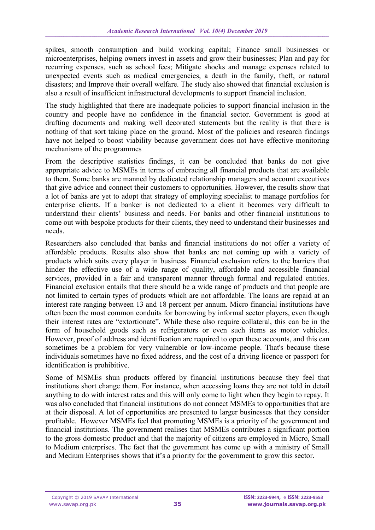spikes, smooth consumption and build working capital; Finance small businesses or microenterprises, helping owners invest in assets and grow their businesses; Plan and pay for recurring expenses, such as school fees; Mitigate shocks and manage expenses related to unexpected events such as medical emergencies, a death in the family, theft, or natural disasters; and Improve their overall welfare. The study also showed that financial exclusion is also a result of insufficient infrastructural developments to support financial inclusion.

The study highlighted that there are inadequate policies to support financial inclusion in the country and people have no confidence in the financial sector. Government is good at drafting documents and making well decorated statements but the reality is that there is nothing of that sort taking place on the ground. Most of the policies and research findings have not helped to boost viability because government does not have effective monitoring mechanisms of the programmes

From the descriptive statistics findings, it can be concluded that banks do not give appropriate advice to MSMEs in terms of embracing all financial products that are available to them. Some banks are manned by dedicated relationship managers and account executives that give advice and connect their customers to opportunities. However, the results show that a lot of banks are yet to adopt that strategy of employing specialist to manage portfolios for enterprise clients. If a banker is not dedicated to a client it becomes very difficult to understand their clients' business and needs. For banks and other financial institutions to come out with bespoke products for their clients, they need to understand their businesses and needs.

Researchers also concluded that banks and financial institutions do not offer a variety of affordable products. Results also show that banks are not coming up with a variety of products which suits every player in business. Financial exclusion refers to the barriers that hinder the effective use of a wide range of quality, affordable and accessible financial services, provided in a fair and transparent manner through formal and regulated entities. Financial exclusion entails that there should be a wide range of products and that people are not limited to certain types of products which are not affordable. The loans are repaid at an interest rate ranging between 13 and 18 percent per annum. Micro financial institutions have often been the most common conduits for borrowing by informal sector players, even though their interest rates are "extortionate". While these also require collateral, this can be in the form of household goods such as refrigerators or even such items as motor vehicles. However, proof of address and identification are required to open these accounts, and this can sometimes be a problem for very vulnerable or low-income people. That's because these individuals sometimes have no fixed address, and the cost of a driving licence or passport for identification is prohibitive.

Some of MSMEs shun products offered by financial institutions because they feel that institutions short change them. For instance, when accessing loans they are not told in detail anything to do with interest rates and this will only come to light when they begin to repay. It was also concluded that financial institutions do not connect MSMEs to opportunities that are at their disposal. A lot of opportunities are presented to larger businesses that they consider profitable. However MSMEs feel that promoting MSMEs is a priority of the government and financial institutions. The government realises that MSMEs contributes a significant portion to the gross domestic product and that the majority of citizens are employed in Micro, Small to Medium enterprises. The fact that the government has come up with a ministry of Small and Medium Enterprises shows that it's a priority for the government to grow this sector.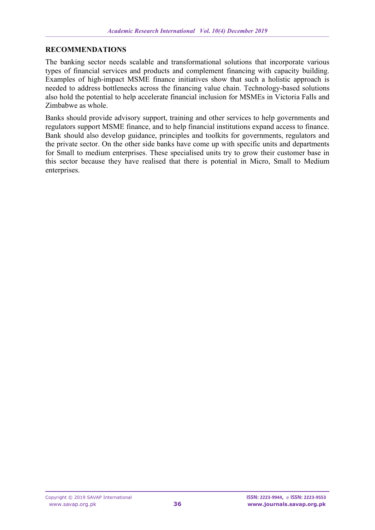### **RECOMMENDATIONS**

The banking sector needs scalable and transformational solutions that incorporate various types of financial services and products and complement financing with capacity building. Examples of high-impact MSME finance initiatives show that such a holistic approach is needed to address bottlenecks across the financing value chain. Technology-based solutions also hold the potential to help accelerate financial inclusion for MSMEs in Victoria Falls and Zimbabwe as whole.

Banks should provide advisory support, training and other services to help governments and regulators support MSME finance, and to help financial institutions expand access to finance. Bank should also develop guidance, principles and toolkits for governments, regulators and the private sector. On the other side banks have come up with specific units and departments for Small to medium enterprises. These specialised units try to grow their customer base in this sector because they have realised that there is potential in Micro, Small to Medium enterprises.